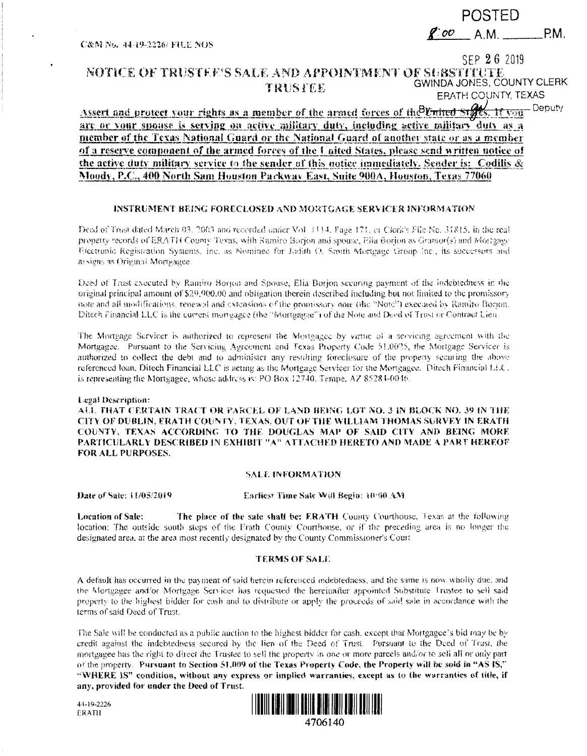C&N No. 44-19-2226/ FILE NOS

# POSTED

 $8.00$  A.M. P.M.

## SEP 26 2019

#### NOTICE OF TRUSTEE'S SALE AND APPOINTMENT OF SUBSTITUTE GWINDA JONES, COUNTY CLERK TRUSTEE EPATH COUNTY, TEXAS

Assert and protect your rights as a member of the armed forces of the United Stees. If you - Deputy are or your spouse is serving on active military duty, including active military duty as a member of the Texas National Guard or the National Guard of another state or as a member of a reserve component of the armed forces of the United States, please send written notice of the active duty military service to the sender of this notice immediately. Sender is: Codilis & Moody, P.C., 400 North Sam Houston Packway East, Suite 900A, Houston, Texas 77060

### INSTRUMENT BEING FORECLOSED AND MORTGAGE SERVICER INFORMATION

Deed of Trust dated March 03, 2003 and recorded under Vol. (114, Fage 171, or Clerk's File Ne, 31815, in the real property records of ERATH County Texas, with Ramiro Borjon and spouse, Elia Borjon as Grantor(s) and Mortgage Electronic Registration Systems, Inc. as Nominee for Jadith O. Smith Mortgage Group Inc., its successors and assigns as Original Mortgagee.

Deed of Trust executed by Ramiro Borjon and Spouse, Elia Borjon securing payment of the indebtedness in the original principal amount of \$29,900.00 and obligation therein described including but not limited to the promissory note and all modifications, renewal and extensions of the promissory note (the "Note") executed by Ramiro Borton. Ditech Financial LLC is the current mortgagee (the "Mortgagee") of the Note and Deed of Trust or Contract Lien.

The Mortgage Scrvicer is authorized to represent the Mortgagee by virtue of a servicing agreement with the Mortgagee. Pursuant to the Servicing Agreement and Texas Property Code 51.0025, the Mortgage Servicer is authorized to collect the debt and to administer any resulting foreclosure of the property securing the above referenced loan. Ditech Financial LLC is acting as the Mortgage Servicer for the Mortgagee. Ditech Financial LLC, is representing the Mortgagee, whose address is: PO Box 12740. Tempe, AZ 85284-0046.

#### Legal Description:

ALL THAT CERTAIN TRACT OR PARCEL OF LAND BEING LOT NO. 3 IN BLOCK NO. 39 IN THE CITY OF DUBLIN, ERATH COUNTY, TEXAS, OUT OF THE WILLIAM THOMAS SURVEY IN ERATH COUNTY, TEXAS ACCORDING TO THE DOUGLAS MAP OF SAID CITY AND BEING MORE PARTICULARLY DESCRIBED IN EXHIBIT "A" ATTACHED HERETO AND MADE A PART HEREOF FOR ALL PURPOSES.

#### **SALE INFORMATION**

Date of Sale: 11/05/2019

Earliest Time Sale Will Begin: 10:00 AM

The place of the sate shall be: ERATH County Courthouse, Texas at the following **Location of Sale:** location: The outside south steps of the Frath County Courthouse, or if the preceding area is no lowger the designated area, at the area most recently designated by the County Commissioner's Court

#### **TERMS OF SALE**

A default has occurred in the payment of said herein referenced indebtedness, and the same is now wholly due, and the Mortgagee and/or Mortgage Servicer has requested the hereinafter appointed Substitute Trustee to sell said property to the highest bidder for cash and to distribute or apply the proceeds of said sale in accordance with the terms of said Deed of Trust.

The Sale will be conducted as a public auction to the highest bidder for cash, except that Mortgagee's bid may be by credit against the indebtedness secured by the lien of the Deed of Trust. Pursuant to the Deed of Trust, the mortgagee has the right to direct the Trustee to sell the property in one or more parcels and/or to sell all or only part of the property. Pursuant to Section 51.009 of the Texas Property Code, the Property will be sold in "AS IS," "WHERE IS" condition, without any express or implied warranties, except as to the warranties of title, if any, provided for under the Deed of Trust.



44-19-2226 ERATH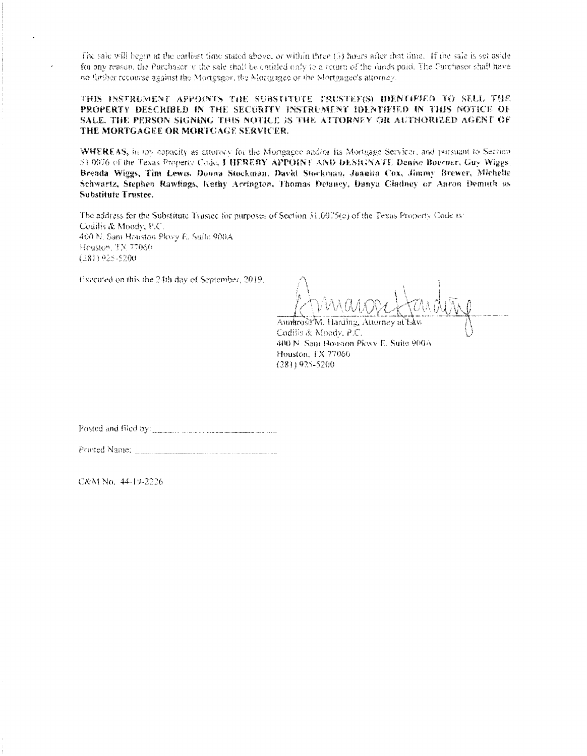The sale will begin at the earliest time stated above, or within three (5) hours after that time. If the sale is set aside for any reason, the Purchasor w the sale shall be emitted only to a return of the funds paid. The Purchaser shall have no further recourse against the Mortgagor, the Mortgagee or the Mortgagee's attorney.

THIS INSTRUMENT APPOINTS THE SUBSTITUTE TRUSTEF(S) IDENTIFIED TO SELL THE PROPERTY DESCRIBED IN THE SECURITY INSTRUMENT IDENTIFIED IN THIS NOTICE OF SALE. THE PERSON SIGNING THIS NOTICE IS THE ATTORNEY OR AUTHORIZED AGENT OF THE MORTGAGEE OR MORTGAGE SERVICER.

WHEREAS, in my capacity as attorney for the Mortgagee and/or Its Mortgage Servicer, and pursuant to Section 51 0076 of the Texas Property Code, J HEREBY APPOINT AND DESIGNATE Denise Boerner, Guy Wiggs, Breada Wiggs, Tim Lewis. Douna Stockman, David Stockman, Juanita Cox, Jimmy Brewer, Michelle Schwartz, Stephen Rawlings, Kathy Arrington, Thomas Delaney, Danya Cladney or Aaron Demuth as Substitute Trustee.

The address for the Substitute Trustee for purposes of Section 31.0075(e) of the Texas Property Code is: Codilis & Moody, P.C. 400 N. Sam Houston Pkwy E. Suite 900A Houston, TX 77060  $(281)925 - 5200$ 

Executed on this the 24th day of September, 2019.

Asmarose M. Harding, Attorney at Codilis & Moody, P.C. 400 N. Sam Houston Pkwy E. Suite 900A Houston, TX 77060 (281) 925-5200

C&M No. 44-19-2226